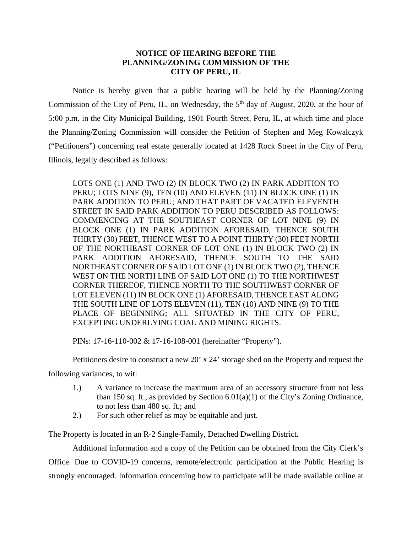## **NOTICE OF HEARING BEFORE THE PLANNING/ZONING COMMISSION OF THE CITY OF PERU, IL**

Notice is hereby given that a public hearing will be held by the Planning/Zoning Commission of the City of Peru, IL, on Wednesday, the  $5<sup>th</sup>$  day of August, 2020, at the hour of 5:00 p.m. in the City Municipal Building, 1901 Fourth Street, Peru, IL, at which time and place the Planning/Zoning Commission will consider the Petition of Stephen and Meg Kowalczyk ("Petitioners") concerning real estate generally located at 1428 Rock Street in the City of Peru, Illinois, legally described as follows:

LOTS ONE (1) AND TWO (2) IN BLOCK TWO (2) IN PARK ADDITION TO PERU; LOTS NINE (9), TEN (10) AND ELEVEN (11) IN BLOCK ONE (1) IN PARK ADDITION TO PERU; AND THAT PART OF VACATED ELEVENTH STREET IN SAID PARK ADDITION TO PERU DESCRIBED AS FOLLOWS: COMMENCING AT THE SOUTHEAST CORNER OF LOT NINE (9) IN BLOCK ONE (1) IN PARK ADDITION AFORESAID, THENCE SOUTH THIRTY (30) FEET, THENCE WEST TO A POINT THIRTY (30) FEET NORTH OF THE NORTHEAST CORNER OF LOT ONE (1) IN BLOCK TWO (2) IN PARK ADDITION AFORESAID, THENCE SOUTH TO THE SAID NORTHEAST CORNER OF SAID LOT ONE (1) IN BLOCK TWO (2), THENCE WEST ON THE NORTH LINE OF SAID LOT ONE (1) TO THE NORTHWEST CORNER THEREOF, THENCE NORTH TO THE SOUTHWEST CORNER OF LOT ELEVEN (11) IN BLOCK ONE (1) AFORESAID, THENCE EAST ALONG THE SOUTH LINE OF LOTS ELEVEN (11), TEN (10) AND NINE (9) TO THE PLACE OF BEGINNING; ALL SITUATED IN THE CITY OF PERU, EXCEPTING UNDERLYING COAL AND MINING RIGHTS.

PINs: 17-16-110-002 & 17-16-108-001 (hereinafter "Property").

Petitioners desire to construct a new 20' x 24' storage shed on the Property and request the

following variances, to wit:

- 1.) A variance to increase the maximum area of an accessory structure from not less than 150 sq. ft., as provided by Section  $6.01(a)(1)$  of the City's Zoning Ordinance, to not less than 480 sq. ft.; and
- 2.) For such other relief as may be equitable and just.

The Property is located in an R-2 Single-Family, Detached Dwelling District.

Additional information and a copy of the Petition can be obtained from the City Clerk's Office. Due to COVID-19 concerns, remote/electronic participation at the Public Hearing is strongly encouraged. Information concerning how to participate will be made available online at